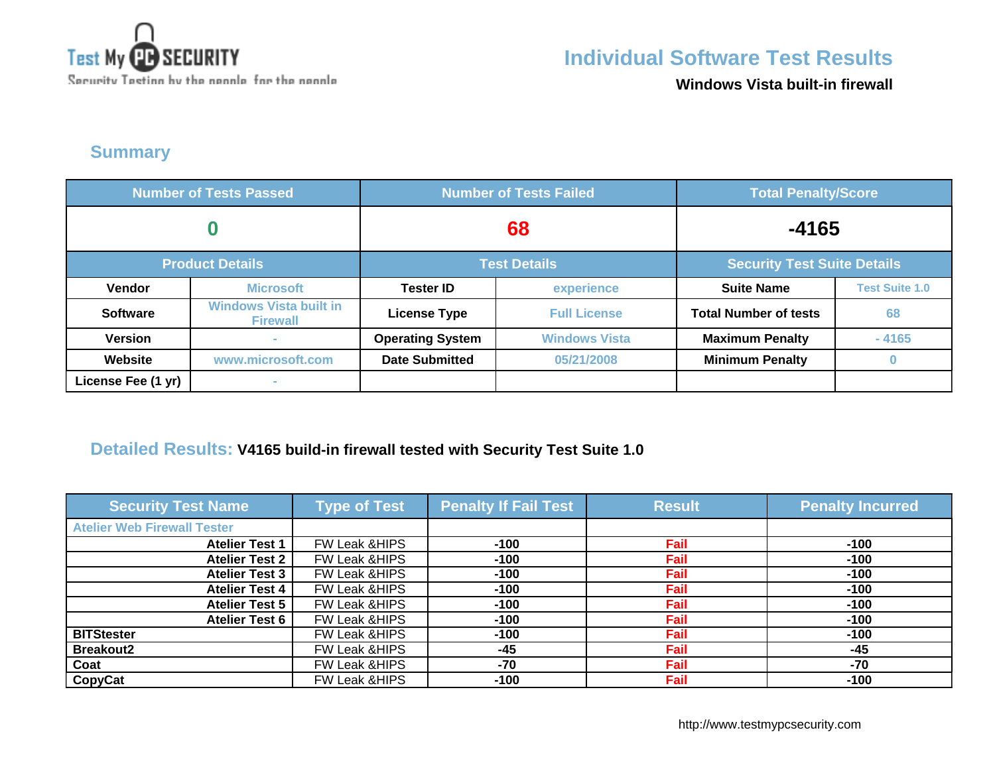

**Windows Vista built-in firewall**

### **Summary**

| <b>Number of Tests Passed</b> |                                                  | <b>Number of Tests Failed</b> |                      | <b>Total Penalty/Score</b>         |                       |
|-------------------------------|--------------------------------------------------|-------------------------------|----------------------|------------------------------------|-----------------------|
|                               |                                                  | 68                            |                      | $-4165$                            |                       |
|                               | <b>Product Details</b>                           | <b>Test Details</b>           |                      | <b>Security Test Suite Details</b> |                       |
| <b>Vendor</b>                 | <b>Microsoft</b>                                 | <b>Tester ID</b>              | experience           | <b>Suite Name</b>                  | <b>Test Suite 1.0</b> |
| <b>Software</b>               | <b>Windows Vista built in</b><br><b>Firewall</b> | <b>License Type</b>           | <b>Full License</b>  | <b>Total Number of tests</b>       | 68                    |
| <b>Version</b>                | $\sim$                                           | <b>Operating System</b>       | <b>Windows Vista</b> | <b>Maximum Penalty</b>             | $-4165$               |
| Website                       | www.microsoft.com                                | <b>Date Submitted</b>         | 05/21/2008           | <b>Minimum Penalty</b>             | $\bf{0}$              |
| License Fee (1 yr)            | <b>CONTRACTOR</b>                                |                               |                      |                                    |                       |

#### **Detailed Results: V4165 build-in firewall tested with Security Test Suite 1.0**

| <b>Security Test Name</b>          | <b>Type of Test</b>      | <b>Penalty If Fail Test</b> | <b>Result</b> | <b>Penalty Incurred</b> |
|------------------------------------|--------------------------|-----------------------------|---------------|-------------------------|
| <b>Atelier Web Firewall Tester</b> |                          |                             |               |                         |
| <b>Atelier Test 1</b>              | <b>FW Leak &amp;HIPS</b> | $-100$                      | Fail          | $-100$                  |
| <b>Atelier Test 2</b>              | FW Leak & HIPS           | $-100$                      | Fail          | $-100$                  |
| <b>Atelier Test 3</b>              | FW Leak & HIPS           | $-100$                      | Fail          | $-100$                  |
| <b>Atelier Test 4</b>              | FW Leak & HIPS           | $-100$                      | Fail          | $-100$                  |
| <b>Atelier Test 5</b>              | FW Leak & HIPS           | $-100$                      | Fail          | $-100$                  |
| <b>Atelier Test 6</b>              | FW Leak & HIPS           | $-100$                      | Fail          | $-100$                  |
| <b>BITStester</b>                  | FW Leak & HIPS           | $-100$                      | Fail          | $-100$                  |
| <b>Breakout2</b>                   | FW Leak & HIPS           | $-45$                       | Fail          | $-45$                   |
| Coat                               | <b>FW Leak &amp;HIPS</b> | -70                         | Fail          | -70                     |
| <b>CopyCat</b>                     | FW Leak & HIPS           | $-100$                      | Fail          | $-100$                  |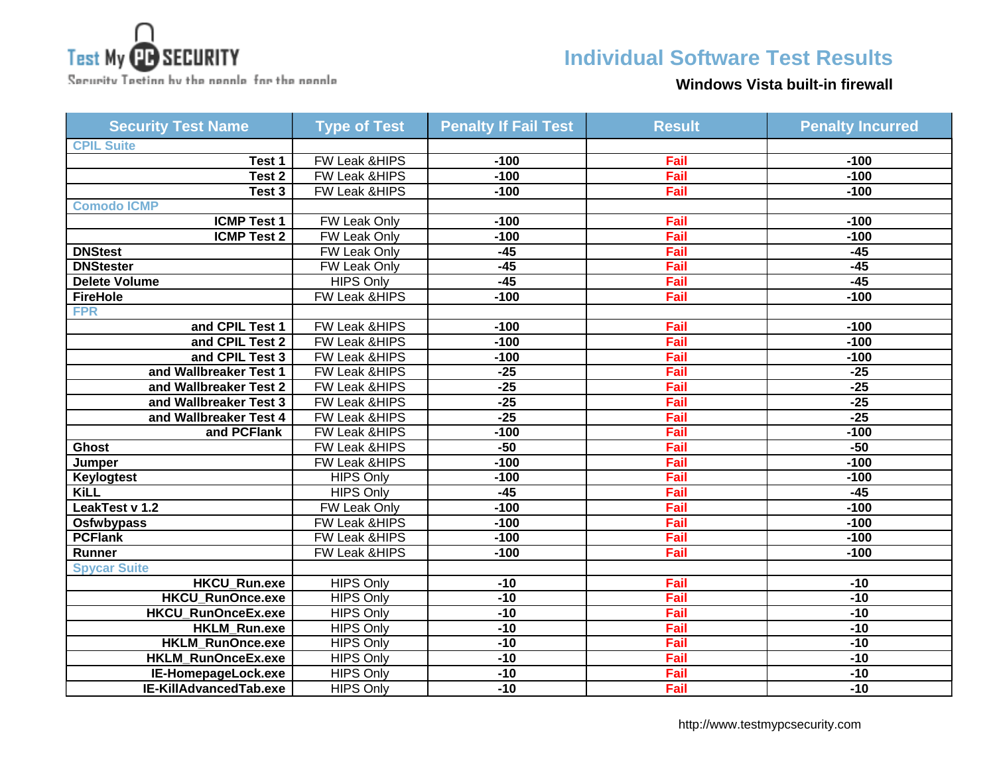

Security Testing by the neaple for the neaple

# **Individual Software Test Results**

### **Windows Vista built-in firewall**

| <b>Security Test Name</b> | <b>Type of Test</b> | <b>Penalty If Fail Test</b> | <b>Result</b> | <b>Penalty Incurred</b> |
|---------------------------|---------------------|-----------------------------|---------------|-------------------------|
| <b>CPIL Suite</b>         |                     |                             |               |                         |
| Test 1                    | FW Leak &HIPS       | $-100$                      | Fail          | $-100$                  |
| Test 2                    | FW Leak &HIPS       | $-100$                      | Fail          | $-100$                  |
| Test 3                    | FW Leak &HIPS       | $-100$                      | Fail          | $-100$                  |
| <b>Comodo ICMP</b>        |                     |                             |               |                         |
| <b>ICMP Test 1</b>        | FW Leak Only        | $-100$                      | Fail          | $-100$                  |
| <b>ICMP Test 2</b>        | FW Leak Only        | $-100$                      | Fail          | $-100$                  |
| <b>DNStest</b>            | FW Leak Only        | $-45$                       | Fail          | $-45$                   |
| <b>DNStester</b>          | FW Leak Only        | $-45$                       | Fail          | $-45$                   |
| <b>Delete Volume</b>      | <b>HIPS Only</b>    | $-45$                       | Fail          | $-45$                   |
| <b>FireHole</b>           | FW Leak &HIPS       | $-100$                      | Fail          | $-100$                  |
| <b>FPR</b>                |                     |                             |               |                         |
| and CPIL Test 1           | FW Leak &HIPS       | $-100$                      | Fail          | $-100$                  |
| and CPIL Test 2           | FW Leak &HIPS       | $-100$                      | Fail          | $-100$                  |
| and CPIL Test 3           | FW Leak &HIPS       | $-100$                      | Fail          | $-100$                  |
| and Wallbreaker Test 1    | FW Leak &HIPS       | $-25$                       | Fail          | $-25$                   |
| and Wallbreaker Test 2    | FW Leak &HIPS       | $-25$                       | Fail          | $-25$                   |
| and Wallbreaker Test 3    | FW Leak &HIPS       | $-25$                       | Fail          | $-25$                   |
| and Wallbreaker Test 4    | FW Leak &HIPS       | $-25$                       | Fail          | $-25$                   |
| and PCFlank               | FW Leak &HIPS       | $-100$                      | Fail          | $-100$                  |
| Ghost                     | FW Leak &HIPS       | $-50$                       | Fail          | $-50$                   |
| Jumper                    | FW Leak &HIPS       | $-100$                      | Fail          | $-100$                  |
| <b>Keylogtest</b>         | <b>HIPS Only</b>    | $-100$                      | Fail          | $-100$                  |
| <b>KiLL</b>               | <b>HIPS Only</b>    | $-45$                       | Fail          | $-45$                   |
| LeakTest v 1.2            | FW Leak Only        | $-100$                      | Fail          | $-100$                  |
| <b>Osfwbypass</b>         | FW Leak &HIPS       | $-100$                      | Fail          | $-100$                  |
| <b>PCFlank</b>            | FW Leak &HIPS       | $-100$                      | Fail          | $-100$                  |
| Runner                    | FW Leak &HIPS       | $-100$                      | Fail          | $-100$                  |
| <b>Spycar Suite</b>       |                     |                             |               |                         |
| <b>HKCU Run.exe</b>       | <b>HIPS Only</b>    | $-10$                       | Fail          | $-10$                   |
| <b>HKCU RunOnce.exe</b>   | <b>HIPS Only</b>    | $-10$                       | Fail          | $-10$                   |
| HKCU_RunOnceEx.exe        | <b>HIPS Only</b>    | $-10$                       | Fail          | $-10$                   |
| <b>HKLM Run.exe</b>       | <b>HIPS Only</b>    | $-10$                       | Fail          | $-10$                   |
| <b>HKLM RunOnce.exe</b>   | <b>HIPS Only</b>    | $-10$                       | Fail          | $-10$                   |
| HKLM_RunOnceEx.exe        | <b>HIPS Only</b>    | $-10$                       | Fail          | $-10$                   |
| IE-HomepageLock.exe       | <b>HIPS Only</b>    | $-10$                       | Fail          | $-10$                   |
| IE-KillAdvancedTab.exe    | <b>HIPS Only</b>    | $-10$                       | Fail          | $-10$                   |